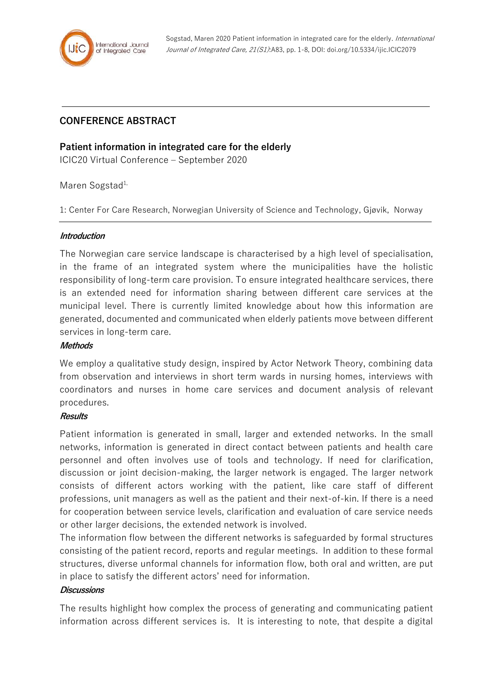

# **CONFERENCE ABSTRACT**

## **Patient information in integrated care for the elderly**

ICIC20 Virtual Conference – September 2020

Maren Sogstad<sup>1,</sup>

1: Center For Care Research, Norwegian University of Science and Technology, Gjøvik, Norway

#### **Introduction**

The Norwegian care service landscape is characterised by a high level of specialisation, in the frame of an integrated system where the municipalities have the holistic responsibility of long-term care provision. To ensure integrated healthcare services, there is an extended need for information sharing between different care services at the municipal level. There is currently limited knowledge about how this information are generated, documented and communicated when elderly patients move between different services in long-term care.

### **Methods**

We employ a qualitative study design, inspired by Actor Network Theory, combining data from observation and interviews in short term wards in nursing homes, interviews with coordinators and nurses in home care services and document analysis of relevant procedures.

#### **Results**

Patient information is generated in small, larger and extended networks. In the small networks, information is generated in direct contact between patients and health care personnel and often involves use of tools and technology. If need for clarification, discussion or joint decision-making, the larger network is engaged. The larger network consists of different actors working with the patient, like care staff of different professions, unit managers as well as the patient and their next-of-kin. If there is a need for cooperation between service levels, clarification and evaluation of care service needs or other larger decisions, the extended network is involved.

The information flow between the different networks is safeguarded by formal structures consisting of the patient record, reports and regular meetings. In addition to these formal structures, diverse unformal channels for information flow, both oral and written, are put in place to satisfy the different actors' need for information.

### **Discussions**

The results highlight how complex the process of generating and communicating patient information across different services is. It is interesting to note, that despite a digital